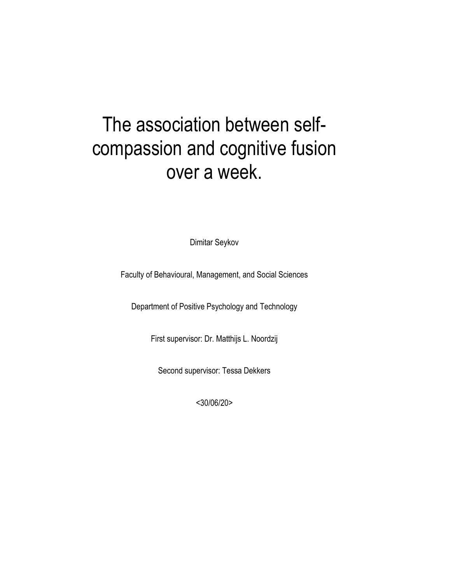# The association between selfcompassion and cognitive fusion over a week.

Dimitar Seykov

Faculty of Behavioural, Management, and Social Sciences

Department of Positive Psychology and Technology

First supervisor: Dr. Matthijs L. Noordzij

Second supervisor: Tessa Dekkers

<30/06/20>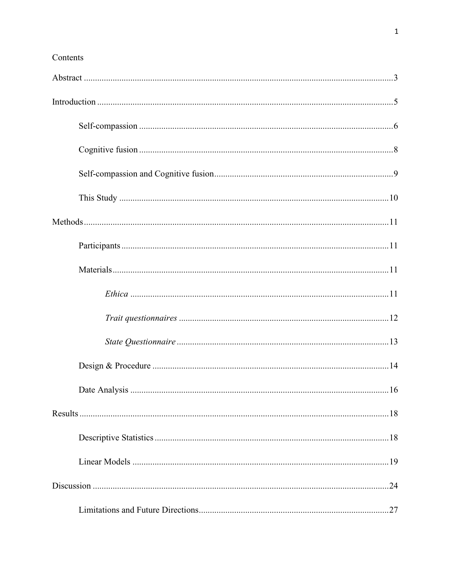# Contents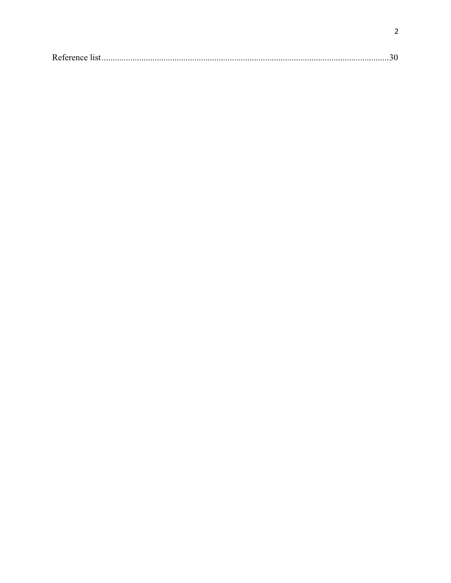|--|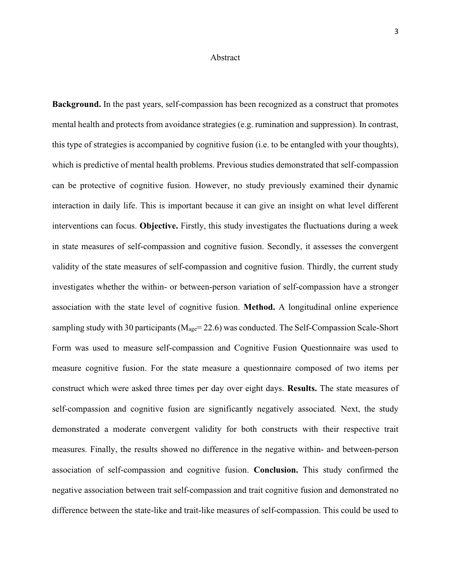## Abstract

<span id="page-3-0"></span>**Background.** In the past years, self-compassion has been recognized as a construct that promotes mental health and protects from avoidance strategies (e.g. rumination and suppression). In contrast, this type of strategies is accompanied by cognitive fusion (i.e. to be entangled with your thoughts), which is predictive of mental health problems. Previous studies demonstrated that self-compassion can be protective of cognitive fusion. However, no study previously examined their dynamic interaction in daily life. This is important because it can give an insight on what level different interventions can focus. **Objective.** Firstly, this study investigates the fluctuations during a week in state measures of self-compassion and cognitive fusion. Secondly, it assesses the convergent validity of the state measures of self-compassion and cognitive fusion. Thirdly, the current study investigates whether the within- or between-person variation of self-compassion have a stronger association with the state level of cognitive fusion. **Method.** A longitudinal online experience sampling study with 30 participants ( $M_{\text{age}}$ = 22.6) was conducted. The Self-Compassion Scale-Short Form was used to measure self-compassion and Cognitive Fusion Questionnaire was used to measure cognitive fusion. For the state measure a questionnaire composed of two items per construct which were asked three times per day over eight days. **Results.** The state measures of self-compassion and cognitive fusion are significantly negatively associated*.* Next, the study demonstrated a moderate convergent validity for both constructs with their respective trait measures. Finally, the results showed no difference in the negative within- and between-person association of self-compassion and cognitive fusion. **Conclusion.** This study confirmed the negative association between trait self-compassion and trait cognitive fusion and demonstrated no difference between the state-like and trait-like measures of self-compassion. This could be used to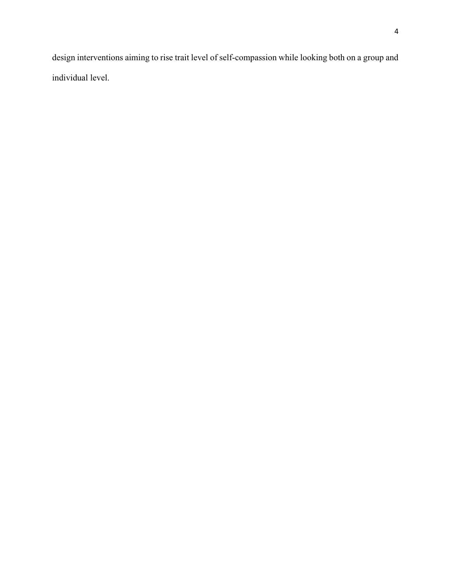design interventions aiming to rise trait level of self-compassion while looking both on a group and individual level.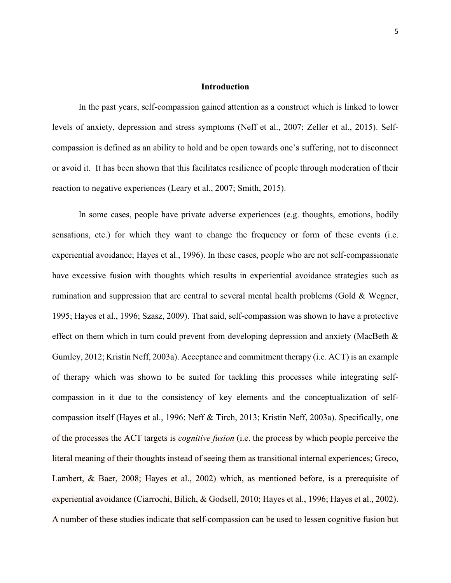# **Introduction**

<span id="page-5-0"></span>In the past years, self-compassion gained attention as a construct which is linked to lower levels of anxiety, depression and stress symptoms (Neff et al., 2007; Zeller et al., 2015). Selfcompassion is defined as an ability to hold and be open towards one's suffering, not to disconnect or avoid it. It has been shown that this facilitates resilience of people through moderation of their reaction to negative experiences (Leary et al., 2007; Smith, 2015).

In some cases, people have private adverse experiences (e.g. thoughts, emotions, bodily sensations, etc.) for which they want to change the frequency or form of these events (i.e. experiential avoidance; Hayes et al., 1996). In these cases, people who are not self-compassionate have excessive fusion with thoughts which results in experiential avoidance strategies such as rumination and suppression that are central to several mental health problems (Gold & Wegner, 1995; Hayes et al., 1996; Szasz, 2009). That said, self-compassion was shown to have a protective effect on them which in turn could prevent from developing depression and anxiety (MacBeth & Gumley, 2012; Kristin Neff, 2003a). Acceptance and commitment therapy (i.e. ACT) is an example of therapy which was shown to be suited for tackling this processes while integrating selfcompassion in it due to the consistency of key elements and the conceptualization of selfcompassion itself (Hayes et al., 1996; Neff & Tirch, 2013; Kristin Neff, 2003a). Specifically, one of the processes the ACT targets is *cognitive fusion* (i.e. the process by which people perceive the literal meaning of their thoughts instead of seeing them as transitional internal experiences; Greco, Lambert, & Baer, 2008; Hayes et al., 2002) which, as mentioned before, is a prerequisite of experiential avoidance (Ciarrochi, Bilich, & Godsell, 2010; Hayes et al., 1996; Hayes et al., 2002). A number of these studies indicate that self-compassion can be used to lessen cognitive fusion but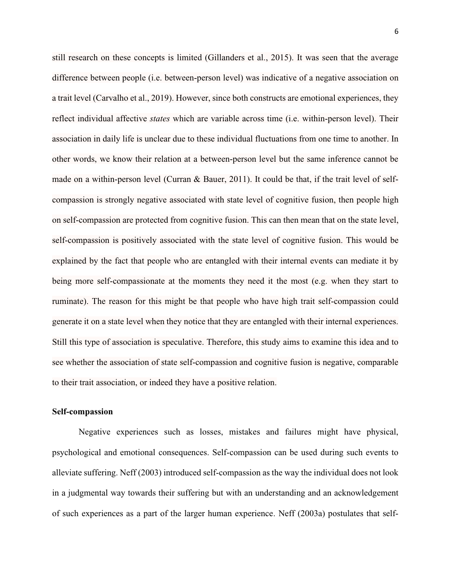still research on these concepts is limited (Gillanders et al., 2015). It was seen that the average difference between people (i.e. between-person level) was indicative of a negative association on a trait level (Carvalho et al., 2019). However, since both constructs are emotional experiences, they reflect individual affective *states* which are variable across time (i.e. within-person level). Their association in daily life is unclear due to these individual fluctuations from one time to another. In other words, we know their relation at a between-person level but the same inference cannot be made on a within-person level (Curran & Bauer, 2011). It could be that, if the trait level of selfcompassion is strongly negative associated with state level of cognitive fusion, then people high on self-compassion are protected from cognitive fusion. This can then mean that on the state level, self-compassion is positively associated with the state level of cognitive fusion. This would be explained by the fact that people who are entangled with their internal events can mediate it by being more self-compassionate at the moments they need it the most (e.g. when they start to ruminate). The reason for this might be that people who have high trait self-compassion could generate it on a state level when they notice that they are entangled with their internal experiences. Still this type of association is speculative. Therefore, this study aims to examine this idea and to see whether the association of state self-compassion and cognitive fusion is negative, comparable to their trait association, or indeed they have a positive relation.

#### <span id="page-6-0"></span>**Self-compassion**

Negative experiences such as losses, mistakes and failures might have physical, psychological and emotional consequences. Self-compassion can be used during such events to alleviate suffering. Neff (2003) introduced self-compassion as the way the individual does not look in a judgmental way towards their suffering but with an understanding and an acknowledgement of such experiences as a part of the larger human experience. Neff (2003a) postulates that self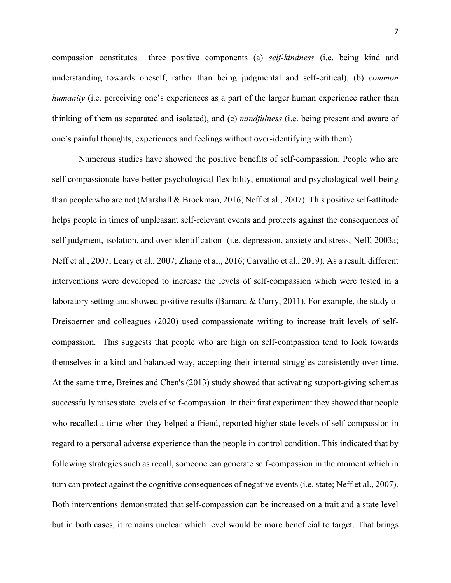compassion constitutes three positive components (a) *self-kindness* (i.e. being kind and understanding towards oneself, rather than being judgmental and self-critical), (b) *common humanity* (i.e. perceiving one's experiences as a part of the larger human experience rather than thinking of them as separated and isolated), and (c) *mindfulness* (i.e. being present and aware of one's painful thoughts, experiences and feelings without over-identifying with them).

Numerous studies have showed the positive benefits of self-compassion. People who are self-compassionate have better psychological flexibility, emotional and psychological well-being than people who are not (Marshall & Brockman, 2016; Neff et al., 2007). This positive self-attitude helps people in times of unpleasant self-relevant events and protects against the consequences of self-judgment, isolation, and over-identification (i.e. depression, anxiety and stress; Neff, 2003a; Neff et al., 2007; Leary et al., 2007; Zhang et al., 2016; Carvalho et al., 2019). As a result, different interventions were developed to increase the levels of self-compassion which were tested in a laboratory setting and showed positive results (Barnard & Curry, 2011). For example, the study of Dreisoerner and colleagues (2020) used compassionate writing to increase trait levels of selfcompassion. This suggests that people who are high on self-compassion tend to look towards themselves in a kind and balanced way, accepting their internal struggles consistently over time. At the same time, Breines and Chen's (2013) study showed that activating support-giving schemas successfully raises state levels of self-compassion. In their first experiment they showed that people who recalled a time when they helped a friend, reported higher state levels of self-compassion in regard to a personal adverse experience than the people in control condition. This indicated that by following strategies such as recall, someone can generate self-compassion in the moment which in turn can protect against the cognitive consequences of negative events (i.e. state; Neff et al., 2007). Both interventions demonstrated that self-compassion can be increased on a trait and a state level but in both cases, it remains unclear which level would be more beneficial to target. That brings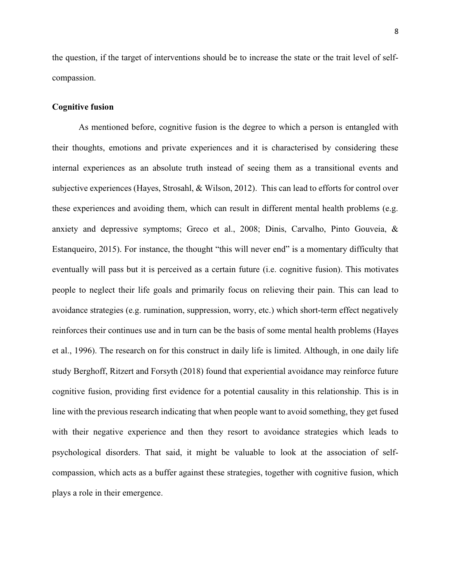the question, if the target of interventions should be to increase the state or the trait level of selfcompassion.

# <span id="page-8-0"></span>**Cognitive fusion**

As mentioned before, cognitive fusion is the degree to which a person is entangled with their thoughts, emotions and private experiences and it is characterised by considering these internal experiences as an absolute truth instead of seeing them as a transitional events and subjective experiences (Hayes, Strosahl, & Wilson, 2012). This can lead to efforts for control over these experiences and avoiding them, which can result in different mental health problems (e.g. anxiety and depressive symptoms; Greco et al., 2008; Dinis, Carvalho, Pinto Gouveia, & Estanqueiro, 2015). For instance, the thought "this will never end" is a momentary difficulty that eventually will pass but it is perceived as a certain future (i.e. cognitive fusion). This motivates people to neglect their life goals and primarily focus on relieving their pain. This can lead to avoidance strategies (e.g. rumination, suppression, worry, etc.) which short-term effect negatively reinforces their continues use and in turn can be the basis of some mental health problems (Hayes et al., 1996). The research on for this construct in daily life is limited. Although, in one daily life study Berghoff, Ritzert and Forsyth (2018) found that experiential avoidance may reinforce future cognitive fusion, providing first evidence for a potential causality in this relationship. This is in line with the previous research indicating that when people want to avoid something, they get fused with their negative experience and then they resort to avoidance strategies which leads to psychological disorders. That said, it might be valuable to look at the association of selfcompassion, which acts as a buffer against these strategies, together with cognitive fusion, which plays a role in their emergence.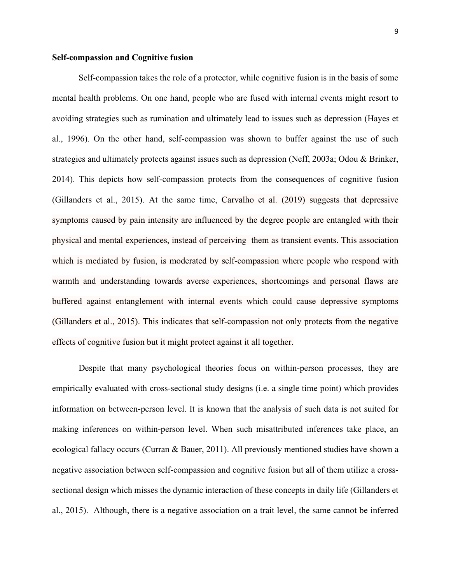## <span id="page-9-0"></span>**Self-compassion and Cognitive fusion**

Self-compassion takes the role of a protector, while cognitive fusion is in the basis of some mental health problems. On one hand, people who are fused with internal events might resort to avoiding strategies such as rumination and ultimately lead to issues such as depression (Hayes et al., 1996). On the other hand, self-compassion was shown to buffer against the use of such strategies and ultimately protects against issues such as depression (Neff, 2003a; Odou & Brinker, 2014). This depicts how self-compassion protects from the consequences of cognitive fusion (Gillanders et al., 2015). At the same time, Carvalho et al. (2019) suggests that depressive symptoms caused by pain intensity are influenced by the degree people are entangled with their physical and mental experiences, instead of perceiving them as transient events. This association which is mediated by fusion, is moderated by self-compassion where people who respond with warmth and understanding towards averse experiences, shortcomings and personal flaws are buffered against entanglement with internal events which could cause depressive symptoms (Gillanders et al., 2015). This indicates that self-compassion not only protects from the negative effects of cognitive fusion but it might protect against it all together.

Despite that many psychological theories focus on within-person processes, they are empirically evaluated with cross-sectional study designs (i.e. a single time point) which provides information on between-person level. It is known that the analysis of such data is not suited for making inferences on within-person level. When such misattributed inferences take place, an ecological fallacy occurs (Curran & Bauer, 2011). All previously mentioned studies have shown a negative association between self-compassion and cognitive fusion but all of them utilize a crosssectional design which misses the dynamic interaction of these concepts in daily life (Gillanders et al., 2015). Although, there is a negative association on a trait level, the same cannot be inferred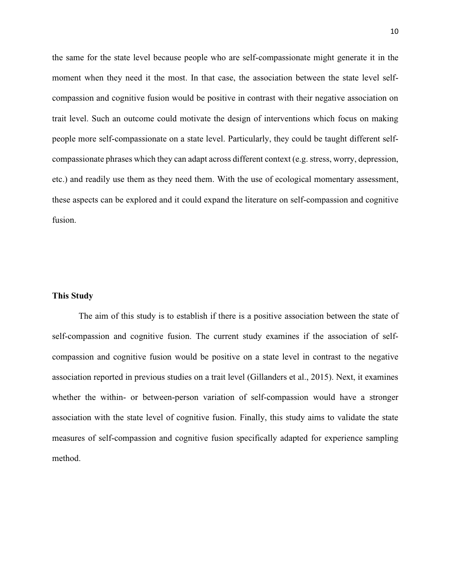the same for the state level because people who are self-compassionate might generate it in the moment when they need it the most. In that case, the association between the state level selfcompassion and cognitive fusion would be positive in contrast with their negative association on trait level. Such an outcome could motivate the design of interventions which focus on making people more self-compassionate on a state level. Particularly, they could be taught different selfcompassionate phrases which they can adapt across different context (e.g. stress, worry, depression, etc.) and readily use them as they need them. With the use of ecological momentary assessment, these aspects can be explored and it could expand the literature on self-compassion and cognitive fusion.

# <span id="page-10-0"></span>**This Study**

The aim of this study is to establish if there is a positive association between the state of self-compassion and cognitive fusion. The current study examines if the association of selfcompassion and cognitive fusion would be positive on a state level in contrast to the negative association reported in previous studies on a trait level (Gillanders et al., 2015). Next, it examines whether the within- or between-person variation of self-compassion would have a stronger association with the state level of cognitive fusion. Finally, this study aims to validate the state measures of self-compassion and cognitive fusion specifically adapted for experience sampling method.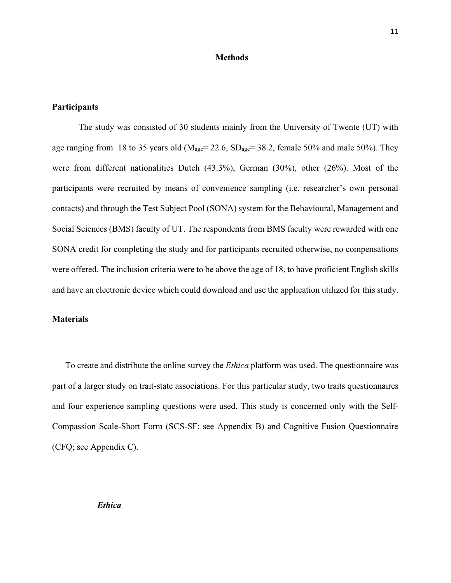#### **Methods**

# <span id="page-11-1"></span><span id="page-11-0"></span>**Participants**

The study was consisted of 30 students mainly from the University of Twente (UT) with age ranging from 18 to 35 years old ( $M_{\text{age}}$  = 22.6,  $SD_{\text{age}}$  = 38.2, female 50% and male 50%). They were from different nationalities Dutch (43.3%), German (30%), other (26%). Most of the participants were recruited by means of convenience sampling (i.e. researcher's own personal contacts) and through the Test Subject Pool (SONA) system for the Behavioural, Management and Social Sciences (BMS) faculty of UT. The respondents from BMS faculty were rewarded with one SONA credit for completing the study and for participants recruited otherwise, no compensations were offered. The inclusion criteria were to be above the age of 18, to have proficient English skills and have an electronic device which could download and use the application utilized for this study.

#### <span id="page-11-2"></span>**Materials**

<span id="page-11-3"></span>To create and distribute the online survey the *Ethica* platform was used. The questionnaire was part of a larger study on trait-state associations. For this particular study, two traits questionnaires and four experience sampling questions were used. This study is concerned only with the Self-Compassion Scale-Short Form (SCS-SF; see Appendix B) and Cognitive Fusion Questionnaire (CFQ; see Appendix C).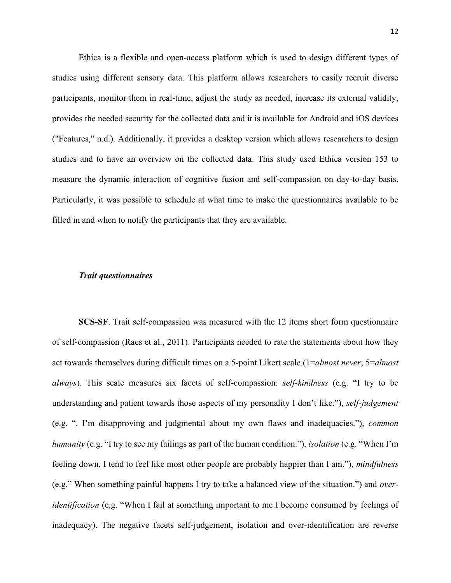Ethica is a flexible and open-access platform which is used to design different types of studies using different sensory data. This platform allows researchers to easily recruit diverse participants, monitor them in real-time, adjust the study as needed, increase its external validity, provides the needed security for the collected data and it is available for Android and iOS devices ("Features," n.d.). Additionally, it provides a desktop version which allows researchers to design studies and to have an overview on the collected data. This study used Ethica version 153 to measure the dynamic interaction of cognitive fusion and self-compassion on day-to-day basis. Particularly, it was possible to schedule at what time to make the questionnaires available to be filled in and when to notify the participants that they are available.

## <span id="page-12-0"></span>*Trait questionnaires*

**SCS-SF**. Trait self-compassion was measured with the 12 items short form questionnaire of self-compassion (Raes et al., 2011). Participants needed to rate the statements about how they act towards themselves during difficult times on a 5-point Likert scale (1=*almost never*; 5=*almost always*)*.* This scale measures six facets of self-compassion: *self-kindness* (e.g. "I try to be understanding and patient towards those aspects of my personality I don't like."), *self-judgement*  (e.g. ". I'm disapproving and judgmental about my own flaws and inadequacies."), *common humanity* (e.g. "I try to see my failings as part of the human condition."), *isolation* (e.g. "When I'm feeling down, I tend to feel like most other people are probably happier than I am."), *mindfulness*  (e.g." When something painful happens I try to take a balanced view of the situation.") and *overidentification* (e.g. "When I fail at something important to me I become consumed by feelings of inadequacy). The negative facets self-judgement, isolation and over-identification are reverse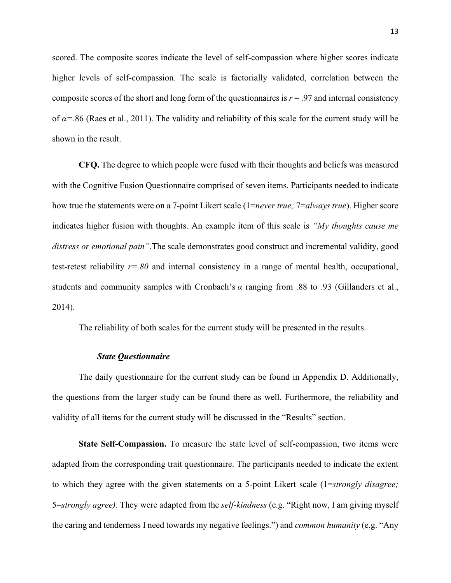scored. The composite scores indicate the level of self-compassion where higher scores indicate higher levels of self-compassion. The scale is factorially validated, correlation between the composite scores of the short and long form of the questionnaires is  $r = .97$  and internal consistency of *α=*.86 (Raes et al., 2011). The validity and reliability of this scale for the current study will be shown in the result.

**CFQ.** The degree to which people were fused with their thoughts and beliefs was measured with the Cognitive Fusion Questionnaire comprised of seven items. Participants needed to indicate how true the statements were on a 7-point Likert scale (1=*never true;* 7=*always true*). Higher score indicates higher fusion with thoughts. An example item of this scale is *"My thoughts cause me distress or emotional pain"*.The scale demonstrates good construct and incremental validity, good test-retest reliability *r=.80* and internal consistency in a range of mental health, occupational, students and community samples with Cronbach's *α* ranging from .88 to .93 (Gillanders et al., 2014).

The reliability of both scales for the current study will be presented in the results.

# *State Questionnaire*

<span id="page-13-0"></span>The daily questionnaire for the current study can be found in Appendix D. Additionally, the questions from the larger study can be found there as well. Furthermore, the reliability and validity of all items for the current study will be discussed in the "Results" section.

**State Self-Compassion.** To measure the state level of self-compassion, two items were adapted from the corresponding trait questionnaire. The participants needed to indicate the extent to which they agree with the given statements on a 5-point Likert scale (1=*strongly disagree;*  5=*strongly agree).* They were adapted from the *self-kindness* (e.g. "Right now, I am giving myself the caring and tenderness I need towards my negative feelings.") and *common humanity* (e.g. "Any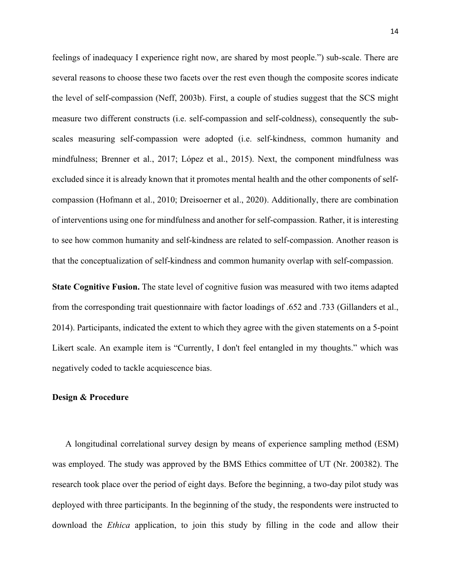feelings of inadequacy I experience right now, are shared by most people.") sub-scale. There are several reasons to choose these two facets over the rest even though the composite scores indicate the level of self-compassion (Neff, 2003b). First, a couple of studies suggest that the SCS might measure two different constructs (i.e. self-compassion and self-coldness), consequently the subscales measuring self-compassion were adopted (i.e. self-kindness, common humanity and mindfulness; Brenner et al., 2017; López et al., 2015). Next, the component mindfulness was excluded since it is already known that it promotes mental health and the other components of selfcompassion (Hofmann et al., 2010; Dreisoerner et al., 2020). Additionally, there are combination of interventions using one for mindfulness and another for self-compassion. Rather, it is interesting to see how common humanity and self-kindness are related to self-compassion. Another reason is that the conceptualization of self-kindness and common humanity overlap with self-compassion.

**State Cognitive Fusion.** The state level of cognitive fusion was measured with two items adapted from the corresponding trait questionnaire with factor loadings of .652 and .733 (Gillanders et al., 2014). Participants, indicated the extent to which they agree with the given statements on a 5-point Likert scale. An example item is "Currently, I don't feel entangled in my thoughts." which was negatively coded to tackle acquiescence bias.

## <span id="page-14-0"></span>**Design & Procedure**

A longitudinal correlational survey design by means of experience sampling method (ESM) was employed. The study was approved by the BMS Ethics committee of UT (Nr. 200382). The research took place over the period of eight days. Before the beginning, a two-day pilot study was deployed with three participants. In the beginning of the study, the respondents were instructed to download the *Ethica* application, to join this study by filling in the code and allow their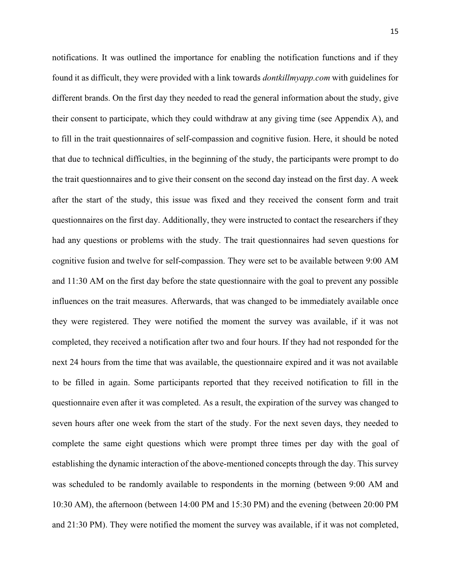notifications. It was outlined the importance for enabling the notification functions and if they found it as difficult, they were provided with a link towards *dontkillmyapp.com* with guidelines for different brands. On the first day they needed to read the general information about the study, give their consent to participate, which they could withdraw at any giving time (see Appendix A), and to fill in the trait questionnaires of self-compassion and cognitive fusion. Here, it should be noted that due to technical difficulties, in the beginning of the study, the participants were prompt to do the trait questionnaires and to give their consent on the second day instead on the first day. A week after the start of the study, this issue was fixed and they received the consent form and trait questionnaires on the first day. Additionally, they were instructed to contact the researchers if they had any questions or problems with the study. The trait questionnaires had seven questions for cognitive fusion and twelve for self-compassion. They were set to be available between 9:00 AM and 11:30 AM on the first day before the state questionnaire with the goal to prevent any possible influences on the trait measures. Afterwards, that was changed to be immediately available once they were registered. They were notified the moment the survey was available, if it was not completed, they received a notification after two and four hours. If they had not responded for the next 24 hours from the time that was available, the questionnaire expired and it was not available to be filled in again. Some participants reported that they received notification to fill in the questionnaire even after it was completed. As a result, the expiration of the survey was changed to seven hours after one week from the start of the study. For the next seven days, they needed to complete the same eight questions which were prompt three times per day with the goal of establishing the dynamic interaction of the above-mentioned concepts through the day. This survey was scheduled to be randomly available to respondents in the morning (between 9:00 AM and 10:30 AM), the afternoon (between 14:00 PM and 15:30 PM) and the evening (between 20:00 PM and 21:30 PM). They were notified the moment the survey was available, if it was not completed,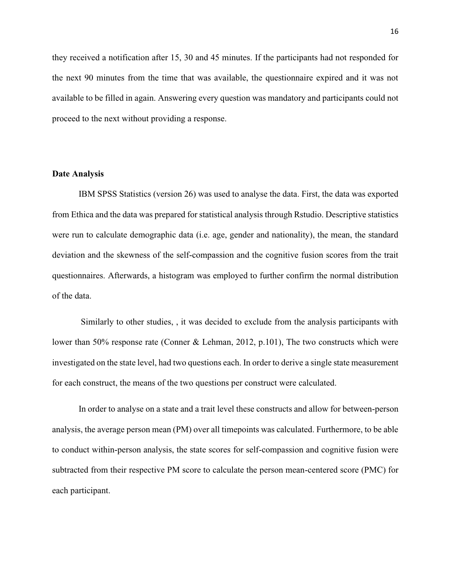they received a notification after 15, 30 and 45 minutes. If the participants had not responded for the next 90 minutes from the time that was available, the questionnaire expired and it was not available to be filled in again. Answering every question was mandatory and participants could not proceed to the next without providing a response.

# <span id="page-16-0"></span>**Date Analysis**

IBM SPSS Statistics (version 26) was used to analyse the data. First, the data was exported from Ethica and the data was prepared for statistical analysis through Rstudio. Descriptive statistics were run to calculate demographic data (i.e. age, gender and nationality), the mean, the standard deviation and the skewness of the self-compassion and the cognitive fusion scores from the trait questionnaires. Afterwards, a histogram was employed to further confirm the normal distribution of the data.

Similarly to other studies, , it was decided to exclude from the analysis participants with lower than 50% response rate (Conner & Lehman, 2012, p.101), The two constructs which were investigated on the state level, had two questions each. In order to derive a single state measurement for each construct, the means of the two questions per construct were calculated.

In order to analyse on a state and a trait level these constructs and allow for between-person analysis, the average person mean (PM) over all timepoints was calculated. Furthermore, to be able to conduct within-person analysis, the state scores for self-compassion and cognitive fusion were subtracted from their respective PM score to calculate the person mean-centered score (PMC) for each participant.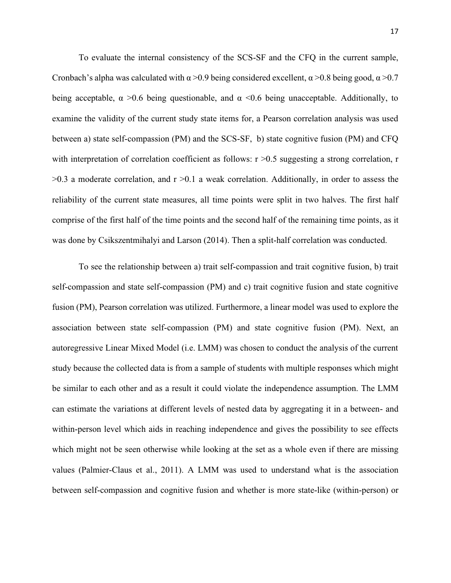To evaluate the internal consistency of the SCS-SF and the CFQ in the current sample, Cronbach's alpha was calculated with  $\alpha$  >0.9 being considered excellent,  $\alpha$  >0.8 being good,  $\alpha$  >0.7 being acceptable,  $\alpha > 0.6$  being questionable, and  $\alpha < 0.6$  being unacceptable. Additionally, to examine the validity of the current study state items for, a Pearson correlation analysis was used between a) state self-compassion (PM) and the SCS-SF, b) state cognitive fusion (PM) and CFQ with interpretation of correlation coefficient as follows:  $r > 0.5$  suggesting a strong correlation, r  $>0.3$  a moderate correlation, and  $r > 0.1$  a weak correlation. Additionally, in order to assess the reliability of the current state measures, all time points were split in two halves. The first half comprise of the first half of the time points and the second half of the remaining time points, as it was done by Csikszentmihalyi and Larson (2014). Then a split-half correlation was conducted.

To see the relationship between a) trait self-compassion and trait cognitive fusion, b) trait self-compassion and state self-compassion (PM) and c) trait cognitive fusion and state cognitive fusion (PM), Pearson correlation was utilized. Furthermore, a linear model was used to explore the association between state self-compassion (PM) and state cognitive fusion (PM). Next, an autoregressive Linear Mixed Model (i.e. LMM) was chosen to conduct the analysis of the current study because the collected data is from a sample of students with multiple responses which might be similar to each other and as a result it could violate the independence assumption. The LMM can estimate the variations at different levels of nested data by aggregating it in a between- and within-person level which aids in reaching independence and gives the possibility to see effects which might not be seen otherwise while looking at the set as a whole even if there are missing values (Palmier-Claus et al., 2011). A LMM was used to understand what is the association between self-compassion and cognitive fusion and whether is more state-like (within-person) or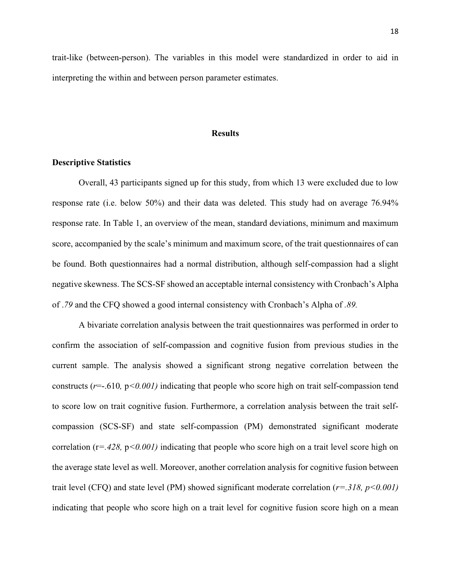trait-like (between-person). The variables in this model were standardized in order to aid in interpreting the within and between person parameter estimates.

#### **Results**

## <span id="page-18-1"></span><span id="page-18-0"></span>**Descriptive Statistics**

Overall, 43 participants signed up for this study, from which 13 were excluded due to low response rate (i.e. below 50%) and their data was deleted. This study had on average 76.94% response rate. In Table 1, an overview of the mean, standard deviations, minimum and maximum score, accompanied by the scale's minimum and maximum score, of the trait questionnaires of can be found. Both questionnaires had a normal distribution, although self-compassion had a slight negative skewness. The SCS-SF showed an acceptable internal consistency with Cronbach's Alpha of .*79* and the CFQ showed a good internal consistency with Cronbach's Alpha of *.89.*

A bivariate correlation analysis between the trait questionnaires was performed in order to confirm the association of self-compassion and cognitive fusion from previous studies in the current sample. The analysis showed a significant strong negative correlation between the constructs (*r*=-.610*,* p*<0.001)* indicating that people who score high on trait self-compassion tend to score low on trait cognitive fusion. Furthermore, a correlation analysis between the trait selfcompassion (SCS-SF) and state self-compassion (PM) demonstrated significant moderate correlation (r*=.428,* p*<0.001)* indicating that people who score high on a trait level score high on the average state level as well. Moreover, another correlation analysis for cognitive fusion between trait level (CFQ) and state level (PM) showed significant moderate correlation (*r=.318, p<0.001)*  indicating that people who score high on a trait level for cognitive fusion score high on a mean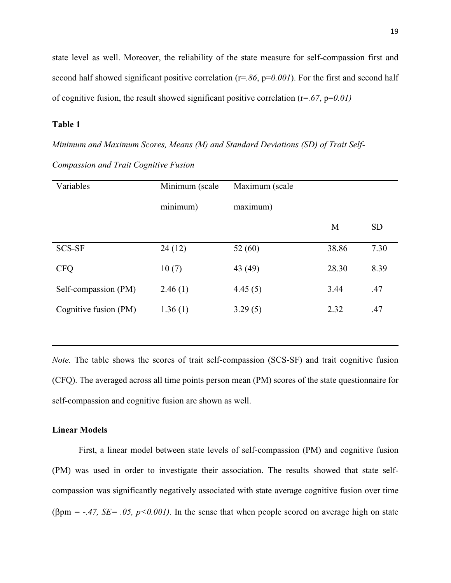state level as well. Moreover, the reliability of the state measure for self-compassion first and second half showed significant positive correlation (r=*.86*, p=0.001). For the first and second half of cognitive fusion, the result showed significant positive correlation (r=*.67*, p=*0.01)*

# **Table 1**

*Minimum and Maximum Scores, Means (M) and Standard Deviations (SD) of Trait Self-Compassion and Trait Cognitive Fusion*

| Variables             | Minimum (scale | Maximum (scale |       |           |
|-----------------------|----------------|----------------|-------|-----------|
|                       | minimum)       | maximum)       |       |           |
|                       |                |                | M     | <b>SD</b> |
| <b>SCS-SF</b>         | 24(12)         | 52 $(60)$      | 38.86 | 7.30      |
| <b>CFQ</b>            | 10(7)          | 43 (49)        | 28.30 | 8.39      |
| Self-compassion (PM)  | 2.46(1)        | 4.45(5)        | 3.44  | .47       |
| Cognitive fusion (PM) | 1.36(1)        | 3.29(5)        | 2.32  | .47       |

*Note.* The table shows the scores of trait self-compassion (SCS-SF) and trait cognitive fusion (CFQ). The averaged across all time points person mean (PM) scores of the state questionnaire for self-compassion and cognitive fusion are shown as well.

# <span id="page-19-0"></span>**Linear Models**

First, a linear model between state levels of self-compassion (PM) and cognitive fusion (PM) was used in order to investigate their association. The results showed that state selfcompassion was significantly negatively associated with state average cognitive fusion over time ( $\beta$ pm = -.47, *SE* = .05, p<0.001). In the sense that when people scored on average high on state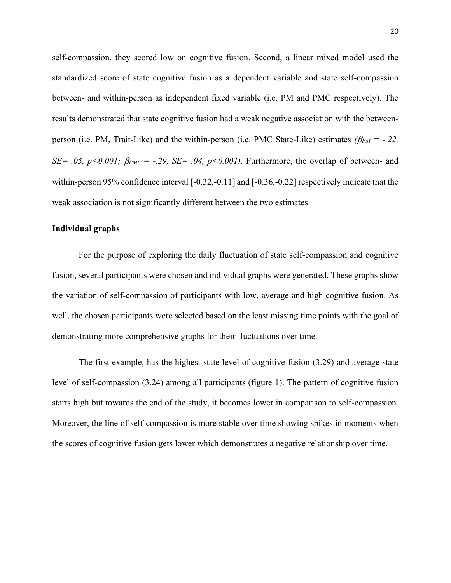self-compassion, they scored low on cognitive fusion. Second, a linear mixed model used the standardized score of state cognitive fusion as a dependent variable and state self-compassion between- and within-person as independent fixed variable (i.e. PM and PMC respectively). The results demonstrated that state cognitive fusion had a weak negative association with the betweenperson (i.e. PM, Trait-Like) and the within-person (i.e. PMC State-Like) estimates  $(\beta_{PM} = -.22, )$  $SE = .05$ ,  $p < 0.001$ ;  $\beta_{PMC} = -.29$ ,  $SE = .04$ ,  $p < 0.001$ ). Furthermore, the overlap of between- and within-person 95% confidence interval [-0.32,-0.11] and [-0.36,-0.22] respectively indicate that the weak association is not significantly different between the two estimates.

## **Individual graphs**

For the purpose of exploring the daily fluctuation of state self-compassion and cognitive fusion, several participants were chosen and individual graphs were generated. These graphs show the variation of self-compassion of participants with low, average and high cognitive fusion. As well, the chosen participants were selected based on the least missing time points with the goal of demonstrating more comprehensive graphs for their fluctuations over time.

The first example, has the highest state level of cognitive fusion (3.29) and average state level of self-compassion (3.24) among all participants (figure 1). The pattern of cognitive fusion starts high but towards the end of the study, it becomes lower in comparison to self-compassion. Moreover, the line of self-compassion is more stable over time showing spikes in moments when the scores of cognitive fusion gets lower which demonstrates a negative relationship over time.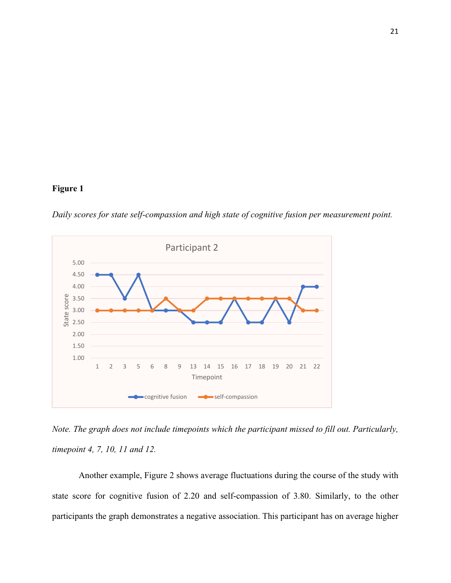# **Figure 1**

*Daily scores for state self-compassion and high state of cognitive fusion per measurement point.*



*Note. The graph does not include timepoints which the participant missed to fill out. Particularly, timepoint 4, 7, 10, 11 and 12.*

Another example, Figure 2 shows average fluctuations during the course of the study with state score for cognitive fusion of 2.20 and self-compassion of 3.80. Similarly, to the other participants the graph demonstrates a negative association. This participant has on average higher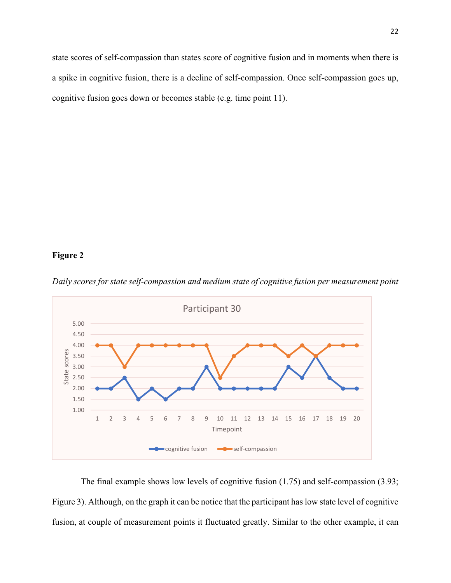state scores of self-compassion than states score of cognitive fusion and in moments when there is a spike in cognitive fusion, there is a decline of self-compassion. Once self-compassion goes up, cognitive fusion goes down or becomes stable (e.g. time point 11).

# **Figure 2**



*Daily scores for state self-compassion and medium state of cognitive fusion per measurement point*

The final example shows low levels of cognitive fusion (1.75) and self-compassion (3.93; Figure 3). Although, on the graph it can be notice that the participant has low state level of cognitive fusion, at couple of measurement points it fluctuated greatly. Similar to the other example, it can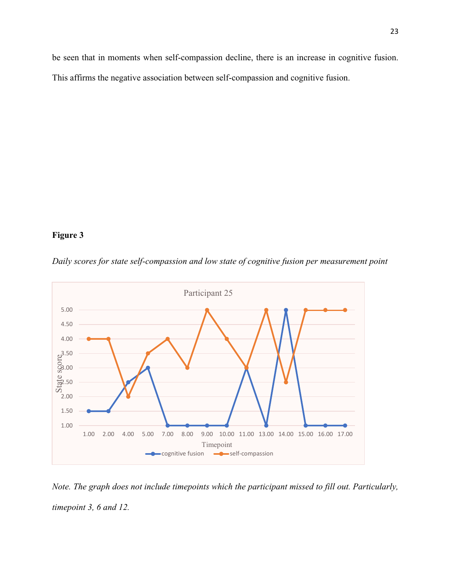be seen that in moments when self-compassion decline, there is an increase in cognitive fusion. This affirms the negative association between self-compassion and cognitive fusion.

# **Figure 3**



*Daily scores for state self-compassion and low state of cognitive fusion per measurement point*

*Note. The graph does not include timepoints which the participant missed to fill out. Particularly, timepoint 3, 6 and 12.*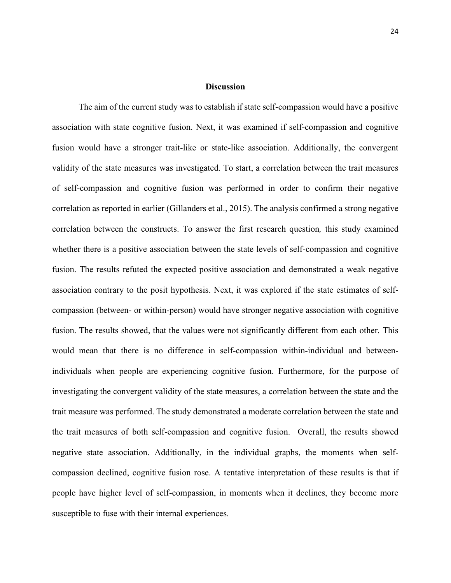# **Discussion**

<span id="page-24-0"></span>The aim of the current study was to establish if state self-compassion would have a positive association with state cognitive fusion. Next, it was examined if self-compassion and cognitive fusion would have a stronger trait-like or state-like association. Additionally, the convergent validity of the state measures was investigated. To start, a correlation between the trait measures of self-compassion and cognitive fusion was performed in order to confirm their negative correlation as reported in earlier (Gillanders et al., 2015). The analysis confirmed a strong negative correlation between the constructs. To answer the first research question*,* this study examined whether there is a positive association between the state levels of self-compassion and cognitive fusion. The results refuted the expected positive association and demonstrated a weak negative association contrary to the posit hypothesis. Next, it was explored if the state estimates of selfcompassion (between- or within-person) would have stronger negative association with cognitive fusion. The results showed, that the values were not significantly different from each other. This would mean that there is no difference in self-compassion within-individual and betweenindividuals when people are experiencing cognitive fusion. Furthermore, for the purpose of investigating the convergent validity of the state measures, a correlation between the state and the trait measure was performed. The study demonstrated a moderate correlation between the state and the trait measures of both self-compassion and cognitive fusion. Overall, the results showed negative state association. Additionally, in the individual graphs, the moments when selfcompassion declined, cognitive fusion rose. A tentative interpretation of these results is that if people have higher level of self-compassion, in moments when it declines, they become more susceptible to fuse with their internal experiences.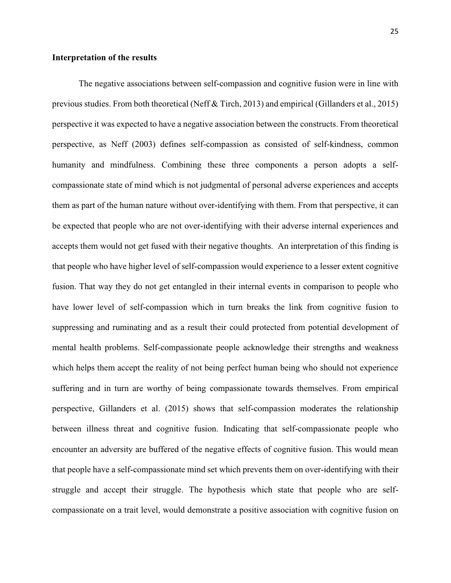## **Interpretation of the results**

The negative associations between self-compassion and cognitive fusion were in line with previous studies. From both theoretical (Neff & Tirch, 2013) and empirical (Gillanders et al., 2015) perspective it was expected to have a negative association between the constructs. From theoretical perspective, as Neff (2003) defines self-compassion as consisted of self-kindness, common humanity and mindfulness. Combining these three components a person adopts a selfcompassionate state of mind which is not judgmental of personal adverse experiences and accepts them as part of the human nature without over-identifying with them. From that perspective, it can be expected that people who are not over-identifying with their adverse internal experiences and accepts them would not get fused with their negative thoughts. An interpretation of this finding is that people who have higher level of self-compassion would experience to a lesser extent cognitive fusion. That way they do not get entangled in their internal events in comparison to people who have lower level of self-compassion which in turn breaks the link from cognitive fusion to suppressing and ruminating and as a result their could protected from potential development of mental health problems. Self-compassionate people acknowledge their strengths and weakness which helps them accept the reality of not being perfect human being who should not experience suffering and in turn are worthy of being compassionate towards themselves. From empirical perspective, Gillanders et al. (2015) shows that self-compassion moderates the relationship between illness threat and cognitive fusion. Indicating that self-compassionate people who encounter an adversity are buffered of the negative effects of cognitive fusion. This would mean that people have a self-compassionate mind set which prevents them on over-identifying with their struggle and accept their struggle. The hypothesis which state that people who are selfcompassionate on a trait level, would demonstrate a positive association with cognitive fusion on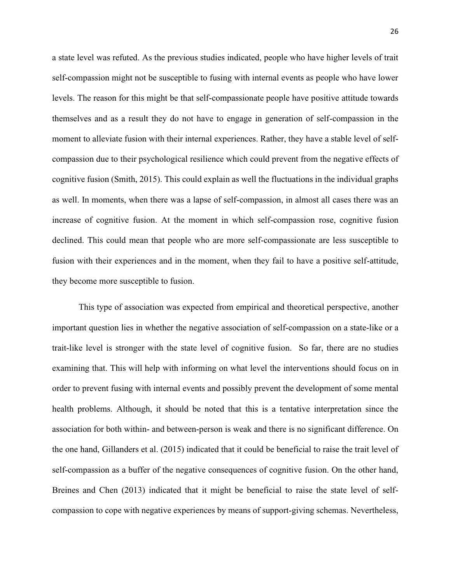a state level was refuted. As the previous studies indicated, people who have higher levels of trait self-compassion might not be susceptible to fusing with internal events as people who have lower levels. The reason for this might be that self-compassionate people have positive attitude towards themselves and as a result they do not have to engage in generation of self-compassion in the moment to alleviate fusion with their internal experiences. Rather, they have a stable level of selfcompassion due to their psychological resilience which could prevent from the negative effects of cognitive fusion (Smith, 2015). This could explain as well the fluctuations in the individual graphs as well. In moments, when there was a lapse of self-compassion, in almost all cases there was an increase of cognitive fusion. At the moment in which self-compassion rose, cognitive fusion declined. This could mean that people who are more self-compassionate are less susceptible to fusion with their experiences and in the moment, when they fail to have a positive self-attitude, they become more susceptible to fusion.

This type of association was expected from empirical and theoretical perspective, another important question lies in whether the negative association of self-compassion on a state-like or a trait-like level is stronger with the state level of cognitive fusion. So far, there are no studies examining that. This will help with informing on what level the interventions should focus on in order to prevent fusing with internal events and possibly prevent the development of some mental health problems. Although, it should be noted that this is a tentative interpretation since the association for both within- and between-person is weak and there is no significant difference. On the one hand, Gillanders et al. (2015) indicated that it could be beneficial to raise the trait level of self-compassion as a buffer of the negative consequences of cognitive fusion. On the other hand, Breines and Chen (2013) indicated that it might be beneficial to raise the state level of selfcompassion to cope with negative experiences by means of support-giving schemas. Nevertheless,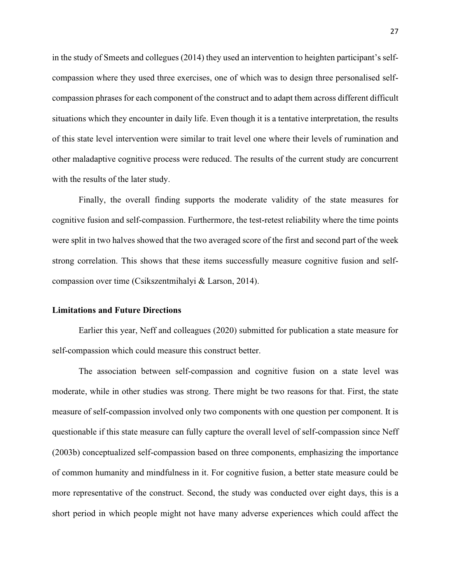in the study of Smeets and collegues (2014) they used an intervention to heighten participant's selfcompassion where they used three exercises, one of which was to design three personalised selfcompassion phrases for each component of the construct and to adapt them across different difficult situations which they encounter in daily life. Even though it is a tentative interpretation, the results of this state level intervention were similar to trait level one where their levels of rumination and other maladaptive cognitive process were reduced. The results of the current study are concurrent with the results of the later study.

Finally, the overall finding supports the moderate validity of the state measures for cognitive fusion and self-compassion. Furthermore, the test-retest reliability where the time points were split in two halves showed that the two averaged score of the first and second part of the week strong correlation. This shows that these items successfully measure cognitive fusion and selfcompassion over time (Csikszentmihalyi & Larson, 2014).

#### <span id="page-27-0"></span>**Limitations and Future Directions**

Earlier this year, Neff and colleagues (2020) submitted for publication a state measure for self-compassion which could measure this construct better.

The association between self-compassion and cognitive fusion on a state level was moderate, while in other studies was strong. There might be two reasons for that. First, the state measure of self-compassion involved only two components with one question per component. It is questionable if this state measure can fully capture the overall level of self-compassion since Neff (2003b) conceptualized self-compassion based on three components, emphasizing the importance of common humanity and mindfulness in it. For cognitive fusion, a better state measure could be more representative of the construct. Second, the study was conducted over eight days, this is a short period in which people might not have many adverse experiences which could affect the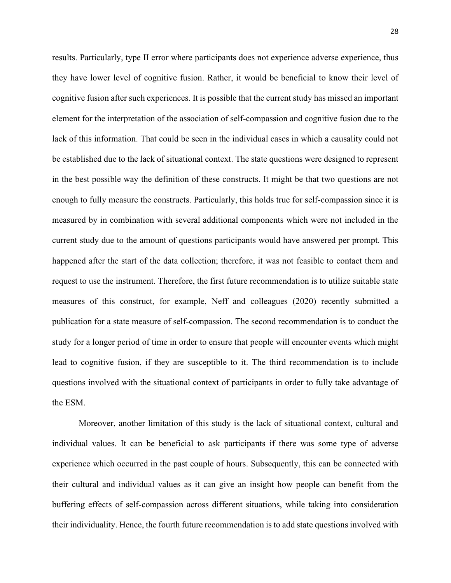results. Particularly, type II error where participants does not experience adverse experience, thus they have lower level of cognitive fusion. Rather, it would be beneficial to know their level of cognitive fusion after such experiences. It is possible that the current study has missed an important element for the interpretation of the association of self-compassion and cognitive fusion due to the lack of this information. That could be seen in the individual cases in which a causality could not be established due to the lack of situational context. The state questions were designed to represent in the best possible way the definition of these constructs. It might be that two questions are not enough to fully measure the constructs. Particularly, this holds true for self-compassion since it is measured by in combination with several additional components which were not included in the current study due to the amount of questions participants would have answered per prompt. This happened after the start of the data collection; therefore, it was not feasible to contact them and request to use the instrument. Therefore, the first future recommendation is to utilize suitable state measures of this construct, for example, Neff and colleagues (2020) recently submitted a publication for a state measure of self-compassion. The second recommendation is to conduct the study for a longer period of time in order to ensure that people will encounter events which might lead to cognitive fusion, if they are susceptible to it. The third recommendation is to include questions involved with the situational context of participants in order to fully take advantage of the ESM.

Moreover, another limitation of this study is the lack of situational context, cultural and individual values. It can be beneficial to ask participants if there was some type of adverse experience which occurred in the past couple of hours. Subsequently, this can be connected with their cultural and individual values as it can give an insight how people can benefit from the buffering effects of self-compassion across different situations, while taking into consideration their individuality. Hence, the fourth future recommendation is to add state questions involved with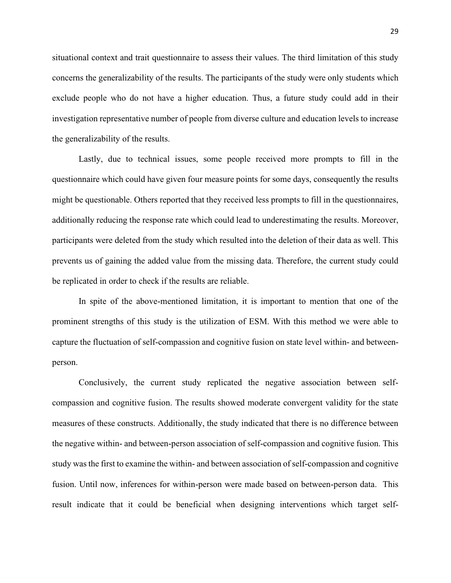situational context and trait questionnaire to assess their values. The third limitation of this study concerns the generalizability of the results. The participants of the study were only students which exclude people who do not have a higher education. Thus, a future study could add in their investigation representative number of people from diverse culture and education levels to increase the generalizability of the results.

Lastly, due to technical issues, some people received more prompts to fill in the questionnaire which could have given four measure points for some days, consequently the results might be questionable. Others reported that they received less prompts to fill in the questionnaires, additionally reducing the response rate which could lead to underestimating the results. Moreover, participants were deleted from the study which resulted into the deletion of their data as well. This prevents us of gaining the added value from the missing data. Therefore, the current study could be replicated in order to check if the results are reliable.

In spite of the above-mentioned limitation, it is important to mention that one of the prominent strengths of this study is the utilization of ESM. With this method we were able to capture the fluctuation of self-compassion and cognitive fusion on state level within- and betweenperson.

Conclusively, the current study replicated the negative association between selfcompassion and cognitive fusion. The results showed moderate convergent validity for the state measures of these constructs. Additionally, the study indicated that there is no difference between the negative within- and between-person association of self-compassion and cognitive fusion. This study was the first to examine the within- and between association of self-compassion and cognitive fusion. Until now, inferences for within-person were made based on between-person data. This result indicate that it could be beneficial when designing interventions which target self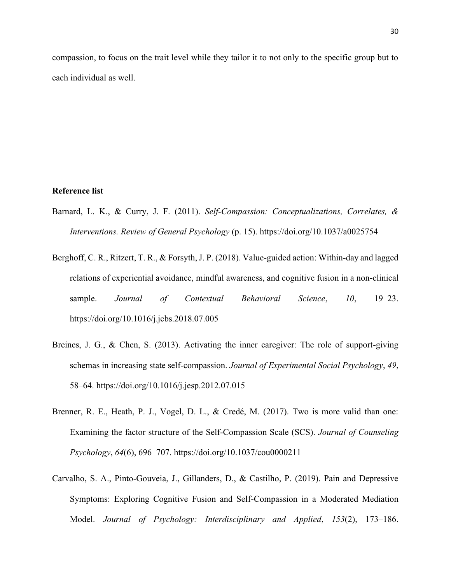<span id="page-30-0"></span>compassion, to focus on the trait level while they tailor it to not only to the specific group but to each individual as well.

# **Reference list**

- Barnard, L. K., & Curry, J. F. (2011). *Self-Compassion: Conceptualizations, Correlates, & Interventions. Review of General Psychology* (p. 15). https://doi.org/10.1037/a0025754
- Berghoff, C. R., Ritzert, T. R., & Forsyth, J. P. (2018). Value-guided action: Within-day and lagged relations of experiential avoidance, mindful awareness, and cognitive fusion in a non-clinical sample. *Journal of Contextual Behavioral Science*, *10*, 19–23. https://doi.org/10.1016/j.jcbs.2018.07.005
- Breines, J. G., & Chen, S. (2013). Activating the inner caregiver: The role of support-giving schemas in increasing state self-compassion. *Journal of Experimental Social Psychology*, *49*, 58–64. https://doi.org/10.1016/j.jesp.2012.07.015
- Brenner, R. E., Heath, P. J., Vogel, D. L., & Credé, M. (2017). Two is more valid than one: Examining the factor structure of the Self-Compassion Scale (SCS). *Journal of Counseling Psychology*, *64*(6), 696–707. https://doi.org/10.1037/cou0000211
- Carvalho, S. A., Pinto-Gouveia, J., Gillanders, D., & Castilho, P. (2019). Pain and Depressive Symptoms: Exploring Cognitive Fusion and Self-Compassion in a Moderated Mediation Model. *Journal of Psychology: Interdisciplinary and Applied*, *153*(2), 173–186.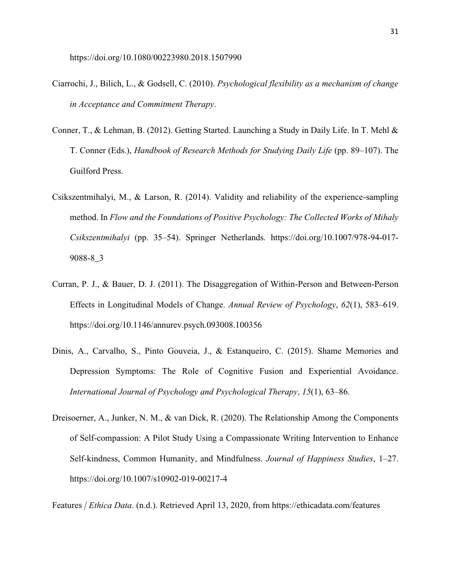- Ciarrochi, J., Bilich, L., & Godsell, C. (2010). *Psychological flexibility as a mechanism of change in Acceptance and Commitment Therapy*.
- Conner, T., & Lehman, B. (2012). Getting Started. Launching a Study in Daily Life. In T. Mehl & T. Conner (Eds.), *Handbook of Research Methods for Studying Daily Life* (pp. 89–107). The Guilford Press.
- Csikszentmihalyi, M., & Larson, R. (2014). Validity and reliability of the experience-sampling method. In *Flow and the Foundations of Positive Psychology: The Collected Works of Mihaly Csikszentmihalyi* (pp. 35–54). Springer Netherlands. https://doi.org/10.1007/978-94-017- 9088-8\_3
- Curran, P. J., & Bauer, D. J. (2011). The Disaggregation of Within-Person and Between-Person Effects in Longitudinal Models of Change. *Annual Review of Psychology*, *62*(1), 583–619. https://doi.org/10.1146/annurev.psych.093008.100356
- Dinis, A., Carvalho, S., Pinto Gouveia, J., & Estanqueiro, C. (2015). Shame Memories and Depression Symptoms: The Role of Cognitive Fusion and Experiential Avoidance. *International Journal of Psychology and Psychological Therapy*, *15*(1), 63–86.
- Dreisoerner, A., Junker, N. M., & van Dick, R. (2020). The Relationship Among the Components of Self-compassion: A Pilot Study Using a Compassionate Writing Intervention to Enhance Self-kindness, Common Humanity, and Mindfulness. *Journal of Happiness Studies*, 1–27. https://doi.org/10.1007/s10902-019-00217-4

Features *| Ethica Data*. (n.d.). Retrieved April 13, 2020, from https://ethicadata.com/features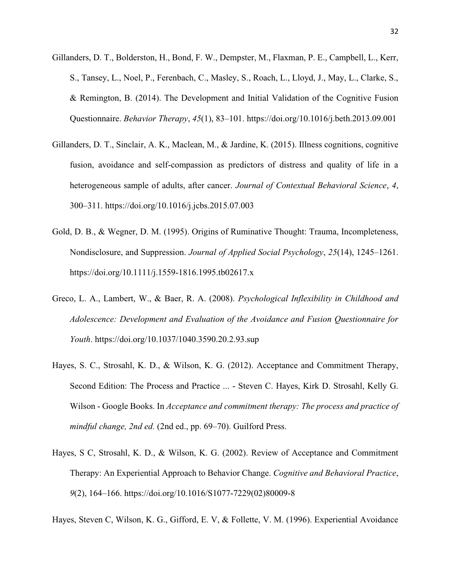- Gillanders, D. T., Bolderston, H., Bond, F. W., Dempster, M., Flaxman, P. E., Campbell, L., Kerr, S., Tansey, L., Noel, P., Ferenbach, C., Masley, S., Roach, L., Lloyd, J., May, L., Clarke, S., & Remington, B. (2014). The Development and Initial Validation of the Cognitive Fusion Questionnaire. *Behavior Therapy*, *45*(1), 83–101. https://doi.org/10.1016/j.beth.2013.09.001
- Gillanders, D. T., Sinclair, A. K., Maclean, M., & Jardine, K. (2015). Illness cognitions, cognitive fusion, avoidance and self-compassion as predictors of distress and quality of life in a heterogeneous sample of adults, after cancer. *Journal of Contextual Behavioral Science*, *4*, 300–311. https://doi.org/10.1016/j.jcbs.2015.07.003
- Gold, D. B., & Wegner, D. M. (1995). Origins of Ruminative Thought: Trauma, Incompleteness, Nondisclosure, and Suppression. *Journal of Applied Social Psychology*, *25*(14), 1245–1261. https://doi.org/10.1111/j.1559-1816.1995.tb02617.x
- Greco, L. A., Lambert, W., & Baer, R. A. (2008). *Psychological Inflexibility in Childhood and Adolescence: Development and Evaluation of the Avoidance and Fusion Questionnaire for Youth*. https://doi.org/10.1037/1040.3590.20.2.93.sup
- Hayes, S. C., Strosahl, K. D., & Wilson, K. G. (2012). Acceptance and Commitment Therapy, Second Edition: The Process and Practice ... - Steven C. Hayes, Kirk D. Strosahl, Kelly G. Wilson - Google Books. In *Acceptance and commitment therapy: The process and practice of mindful change, 2nd ed.* (2nd ed., pp. 69–70). Guilford Press.
- Hayes, S C, Strosahl, K. D., & Wilson, K. G. (2002). Review of Acceptance and Commitment Therapy: An Experiential Approach to Behavior Change. *Cognitive and Behavioral Practice*, *9*(2), 164–166. https://doi.org/10.1016/S1077-7229(02)80009-8

Hayes, Steven C, Wilson, K. G., Gifford, E. V, & Follette, V. M. (1996). Experiential Avoidance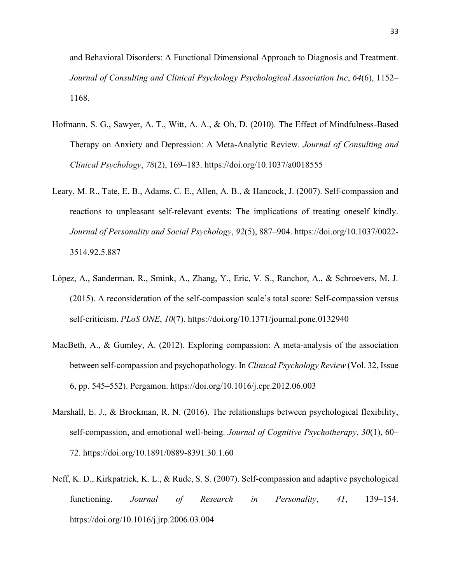and Behavioral Disorders: A Functional Dimensional Approach to Diagnosis and Treatment. *Journal of Consulting and Clinical Psychology Psychological Association Inc*, *64*(6), 1152– 1168.

- Hofmann, S. G., Sawyer, A. T., Witt, A. A., & Oh, D. (2010). The Effect of Mindfulness-Based Therapy on Anxiety and Depression: A Meta-Analytic Review. *Journal of Consulting and Clinical Psychology*, *78*(2), 169–183. https://doi.org/10.1037/a0018555
- Leary, M. R., Tate, E. B., Adams, C. E., Allen, A. B., & Hancock, J. (2007). Self-compassion and reactions to unpleasant self-relevant events: The implications of treating oneself kindly. *Journal of Personality and Social Psychology*, *92*(5), 887–904. https://doi.org/10.1037/0022- 3514.92.5.887
- López, A., Sanderman, R., Smink, A., Zhang, Y., Eric, V. S., Ranchor, A., & Schroevers, M. J. (2015). A reconsideration of the self-compassion scale's total score: Self-compassion versus self-criticism. *PLoS ONE*, *10*(7). https://doi.org/10.1371/journal.pone.0132940
- MacBeth, A., & Gumley, A. (2012). Exploring compassion: A meta-analysis of the association between self-compassion and psychopathology. In *Clinical Psychology Review* (Vol. 32, Issue 6, pp. 545–552). Pergamon. https://doi.org/10.1016/j.cpr.2012.06.003
- Marshall, E. J., & Brockman, R. N. (2016). The relationships between psychological flexibility, self-compassion, and emotional well-being. *Journal of Cognitive Psychotherapy*, *30*(1), 60– 72. https://doi.org/10.1891/0889-8391.30.1.60
- Neff, K. D., Kirkpatrick, K. L., & Rude, S. S. (2007). Self-compassion and adaptive psychological functioning. *Journal of Research in Personality*, *41*, 139–154. https://doi.org/10.1016/j.jrp.2006.03.004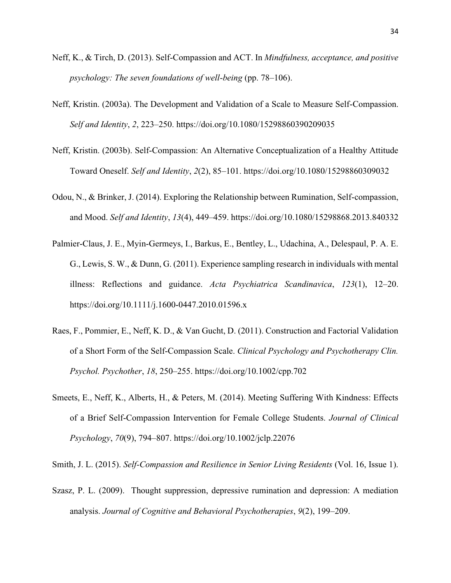- Neff, K., & Tirch, D. (2013). Self-Compassion and ACT. In *Mindfulness, acceptance, and positive psychology: The seven foundations of well-being* (pp. 78–106).
- Neff, Kristin. (2003a). The Development and Validation of a Scale to Measure Self-Compassion. *Self and Identity*, *2*, 223–250. https://doi.org/10.1080/15298860390209035
- Neff, Kristin. (2003b). Self-Compassion: An Alternative Conceptualization of a Healthy Attitude Toward Oneself. *Self and Identity*, *2*(2), 85–101. https://doi.org/10.1080/15298860309032
- Odou, N., & Brinker, J. (2014). Exploring the Relationship between Rumination, Self-compassion, and Mood. *Self and Identity*, *13*(4), 449–459. https://doi.org/10.1080/15298868.2013.840332
- Palmier-Claus, J. E., Myin-Germeys, I., Barkus, E., Bentley, L., Udachina, A., Delespaul, P. A. E. G., Lewis, S. W., & Dunn, G. (2011). Experience sampling research in individuals with mental illness: Reflections and guidance. *Acta Psychiatrica Scandinavica*, *123*(1), 12–20. https://doi.org/10.1111/j.1600-0447.2010.01596.x
- Raes, F., Pommier, E., Neff, K. D., & Van Gucht, D. (2011). Construction and Factorial Validation of a Short Form of the Self-Compassion Scale. *Clinical Psychology and Psychotherapy Clin. Psychol. Psychother*, *18*, 250–255. https://doi.org/10.1002/cpp.702
- Smeets, E., Neff, K., Alberts, H., & Peters, M. (2014). Meeting Suffering With Kindness: Effects of a Brief Self-Compassion Intervention for Female College Students. *Journal of Clinical Psychology*, *70*(9), 794–807. https://doi.org/10.1002/jclp.22076

Smith, J. L. (2015). *Self-Compassion and Resilience in Senior Living Residents* (Vol. 16, Issue 1).

Szasz, P. L. (2009). Thought suppression, depressive rumination and depression: A mediation analysis. *Journal of Cognitive and Behavioral Psychotherapies*, *9*(2), 199–209.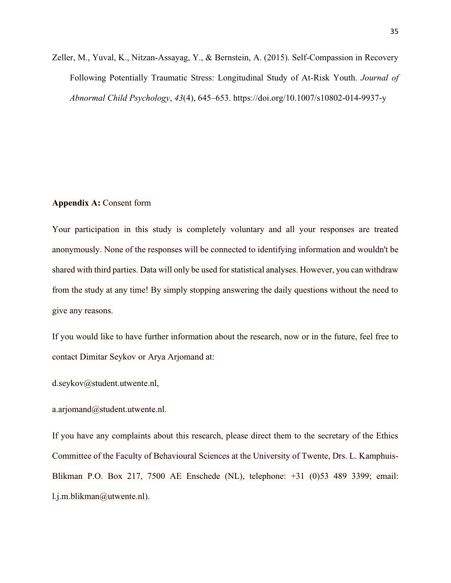Zeller, M., Yuval, K., Nitzan-Assayag, Y., & Bernstein, A. (2015). Self-Compassion in Recovery Following Potentially Traumatic Stress: Longitudinal Study of At-Risk Youth. *Journal of Abnormal Child Psychology*, *43*(4), 645–653. https://doi.org/10.1007/s10802-014-9937-y

## **Appendix A:** Consent form

Your participation in this study is completely voluntary and all your responses are treated anonymously. None of the responses will be connected to identifying information and wouldn't be shared with third parties. Data will only be used for statistical analyses. However, you can withdraw from the study at any time! By simply stopping answering the daily questions without the need to give any reasons.

If you would like to have further information about the research, now or in the future, feel free to contact Dimitar Seykov or Arya Arjomand at:

d.seykov@student.utwente.nl,

a.arjomand@student.utwente.nl.

If you have any complaints about this research, please direct them to the secretary of the Ethics Committee of the Faculty of Behavioural Sciences at the University of Twente, Drs. L. Kamphuis-Blikman P.O. Box 217, 7500 AE Enschede (NL), telephone: +31 (0)53 489 3399; email: l.j.m.blikman@utwente.nl).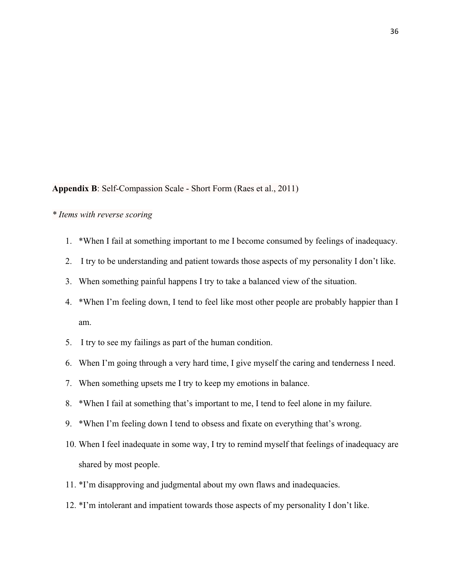# **Appendix B**: Self-Compassion Scale - Short Form (Raes et al., 2011)

# *\* Items with reverse scoring*

- 1. \*When I fail at something important to me I become consumed by feelings of inadequacy.
- 2. I try to be understanding and patient towards those aspects of my personality I don't like.
- 3. When something painful happens I try to take a balanced view of the situation.
- 4. \*When I'm feeling down, I tend to feel like most other people are probably happier than I am.
- 5. I try to see my failings as part of the human condition.
- 6. When I'm going through a very hard time, I give myself the caring and tenderness I need.
- 7. When something upsets me I try to keep my emotions in balance.
- 8. \*When I fail at something that's important to me, I tend to feel alone in my failure.
- 9. \*When I'm feeling down I tend to obsess and fixate on everything that's wrong.
- 10. When I feel inadequate in some way, I try to remind myself that feelings of inadequacy are shared by most people.
- 11. \*I'm disapproving and judgmental about my own flaws and inadequacies.
- 12. \*I'm intolerant and impatient towards those aspects of my personality I don't like.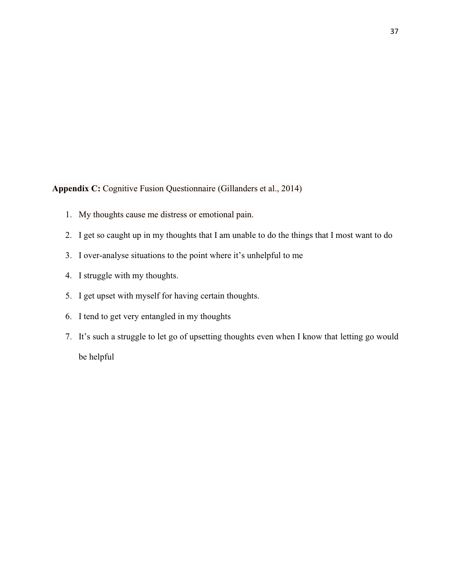**Appendix C:** Cognitive Fusion Questionnaire (Gillanders et al., 2014)

- 1. My thoughts cause me distress or emotional pain.
- 2. I get so caught up in my thoughts that I am unable to do the things that I most want to do
- 3. I over-analyse situations to the point where it's unhelpful to me
- 4. I struggle with my thoughts.
- 5. I get upset with myself for having certain thoughts.
- 6. I tend to get very entangled in my thoughts
- 7. It's such a struggle to let go of upsetting thoughts even when I know that letting go would be helpful